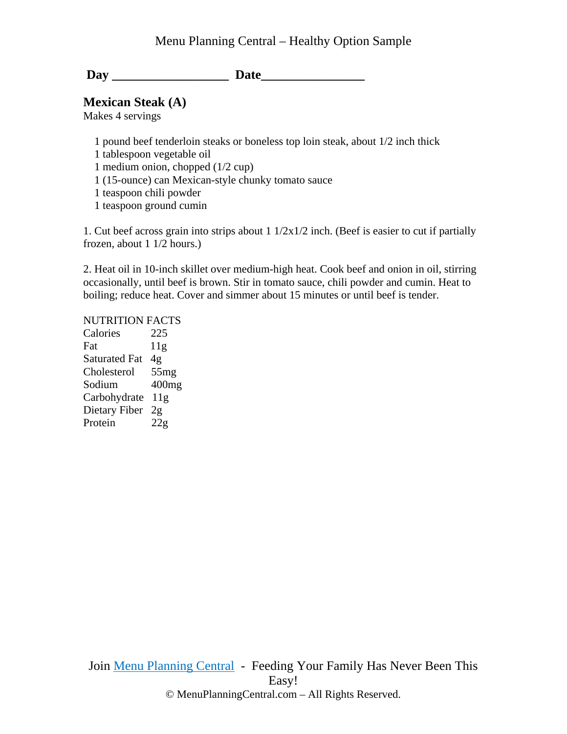## Menu Planning Central – Healthy Option Sample

Day Date

**Mexican Steak (A)** 

Makes 4 servings

 1 pound beef tenderloin steaks or boneless top loin steak, about 1/2 inch thick 1 tablespoon vegetable oil 1 medium onion, chopped (1/2 cup) 1 (15-ounce) can Mexican-style chunky tomato sauce 1 teaspoon chili powder 1 teaspoon ground cumin

1. Cut beef across grain into strips about 1 1/2x1/2 inch. (Beef is easier to cut if partially frozen, about 1 1/2 hours.)

2. Heat oil in 10-inch skillet over medium-high heat. Cook beef and onion in oil, stirring occasionally, until beef is brown. Stir in tomato sauce, chili powder and cumin. Heat to boiling; reduce heat. Cover and simmer about 15 minutes or until beef is tender.

## NUTRITION FACTS

Calories 225 Fat 11g Saturated Fat 4g Cholesterol 55mg Sodium 400mg Carbohydrate 11g Dietary Fiber 2g Protein 22g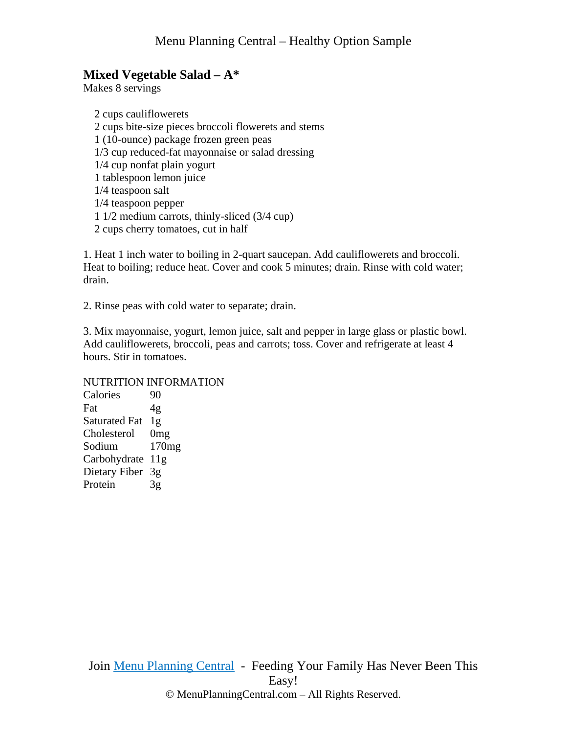# **Mixed Vegetable Salad – A\***

Makes 8 servings

 2 cups cauliflowerets 2 cups bite-size pieces broccoli flowerets and stems 1 (10-ounce) package frozen green peas 1/3 cup reduced-fat mayonnaise or salad dressing 1/4 cup nonfat plain yogurt 1 tablespoon lemon juice 1/4 teaspoon salt 1/4 teaspoon pepper 1 1/2 medium carrots, thinly-sliced (3/4 cup) 2 cups cherry tomatoes, cut in half

1. Heat 1 inch water to boiling in 2-quart saucepan. Add cauliflowerets and broccoli. Heat to boiling; reduce heat. Cover and cook 5 minutes; drain. Rinse with cold water; drain.

2. Rinse peas with cold water to separate; drain.

3. Mix mayonnaise, yogurt, lemon juice, salt and pepper in large glass or plastic bowl. Add cauliflowerets, broccoli, peas and carrots; toss. Cover and refrigerate at least 4 hours. Stir in tomatoes.

#### NUTRITION INFORMATION

Calories 90 Fat 4g Saturated Fat 1g Cholesterol 0mg Sodium 170mg Carbohydrate 11g Dietary Fiber 3g Protein 3g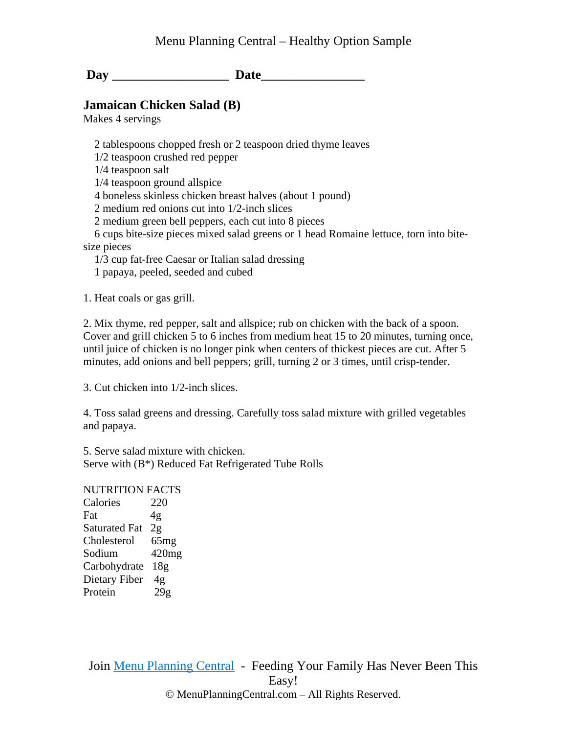## **Jamaican Chicken Salad (B)**

Makes 4 servings

2 tablespoons chopped fresh or 2 teaspoon dried thyme leaves

1/2 teaspoon crushed red pepper

1/4 teaspoon salt

1/4 teaspoon ground allspice

4 boneless skinless chicken breast halves (about 1 pound)

2 medium red onions cut into 1/2-inch slices

2 medium green bell peppers, each cut into 8 pieces

 6 cups bite-size pieces mixed salad greens or 1 head Romaine lettuce, torn into bitesize pieces

1/3 cup fat-free Caesar or Italian salad dressing

1 papaya, peeled, seeded and cubed

1. Heat coals or gas grill.

2. Mix thyme, red pepper, salt and allspice; rub on chicken with the back of a spoon. Cover and grill chicken 5 to 6 inches from medium heat 15 to 20 minutes, turning once, until juice of chicken is no longer pink when centers of thickest pieces are cut. After 5 minutes, add onions and bell peppers; grill, turning 2 or 3 times, until crisp-tender.

3. Cut chicken into 1/2-inch slices.

4. Toss salad greens and dressing. Carefully toss salad mixture with grilled vegetables and papaya.

5. Serve salad mixture with chicken. Serve with (B\*) Reduced Fat Refrigerated Tube Rolls

NUTRITION FACTS Calories 220 Fat  $4g$ Saturated Fat 2g Cholesterol 65mg Sodium 420mg Carbohydrate 18g Dietary Fiber 4g Protein 29g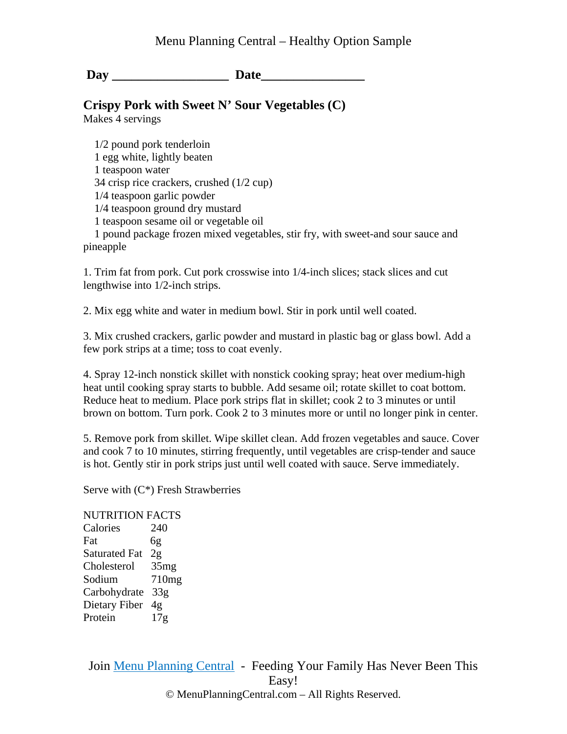# **Crispy Pork with Sweet N' Sour Vegetables (C)**

Makes 4 servings

 1/2 pound pork tenderloin 1 egg white, lightly beaten 1 teaspoon water 34 crisp rice crackers, crushed (1/2 cup) 1/4 teaspoon garlic powder 1/4 teaspoon ground dry mustard 1 teaspoon sesame oil or vegetable oil

 1 pound package frozen mixed vegetables, stir fry, with sweet-and sour sauce and pineapple

1. Trim fat from pork. Cut pork crosswise into 1/4-inch slices; stack slices and cut lengthwise into 1/2-inch strips.

2. Mix egg white and water in medium bowl. Stir in pork until well coated.

3. Mix crushed crackers, garlic powder and mustard in plastic bag or glass bowl. Add a few pork strips at a time; toss to coat evenly.

4. Spray 12-inch nonstick skillet with nonstick cooking spray; heat over medium-high heat until cooking spray starts to bubble. Add sesame oil; rotate skillet to coat bottom. Reduce heat to medium. Place pork strips flat in skillet; cook 2 to 3 minutes or until brown on bottom. Turn pork. Cook 2 to 3 minutes more or until no longer pink in center.

5. Remove pork from skillet. Wipe skillet clean. Add frozen vegetables and sauce. Cover and cook 7 to 10 minutes, stirring frequently, until vegetables are crisp-tender and sauce is hot. Gently stir in pork strips just until well coated with sauce. Serve immediately.

Serve with  $(C^*)$  Fresh Strawberries

#### NUTRITION FACTS

Calories 240 Fat 6g Saturated Fat 2g Cholesterol 35mg Sodium 710mg Carbohydrate 33g Dietary Fiber 4g Protein 17g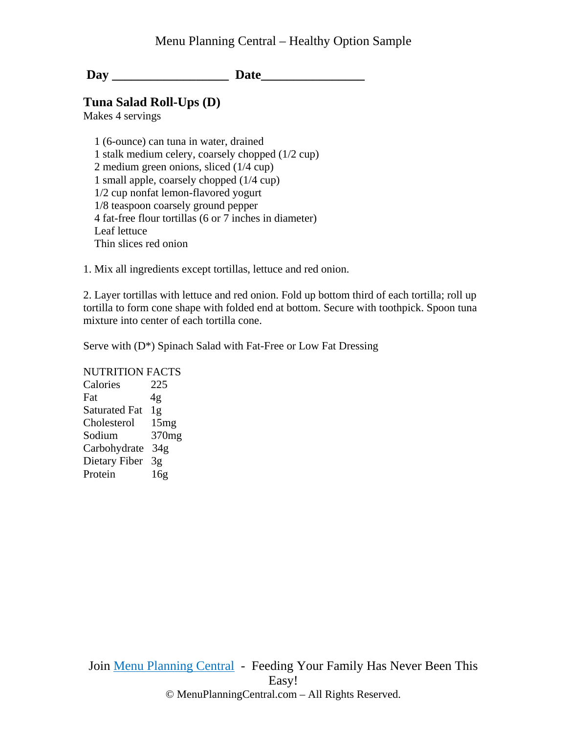#### **Tuna Salad Roll-Ups (D)**

Makes 4 servings

 1 (6-ounce) can tuna in water, drained 1 stalk medium celery, coarsely chopped (1/2 cup) 2 medium green onions, sliced (1/4 cup) 1 small apple, coarsely chopped (1/4 cup) 1/2 cup nonfat lemon-flavored yogurt 1/8 teaspoon coarsely ground pepper 4 fat-free flour tortillas (6 or 7 inches in diameter) Leaf lettuce Thin slices red onion

1. Mix all ingredients except tortillas, lettuce and red onion.

2. Layer tortillas with lettuce and red onion. Fold up bottom third of each tortilla; roll up tortilla to form cone shape with folded end at bottom. Secure with toothpick. Spoon tuna mixture into center of each tortilla cone.

Serve with (D\*) Spinach Salad with Fat-Free or Low Fat Dressing

NUTRITION FACTS

Calories 225 Fat 4g Saturated Fat 1g Cholesterol 15mg Sodium 370mg Carbohydrate 34g Dietary Fiber 3g Protein 16g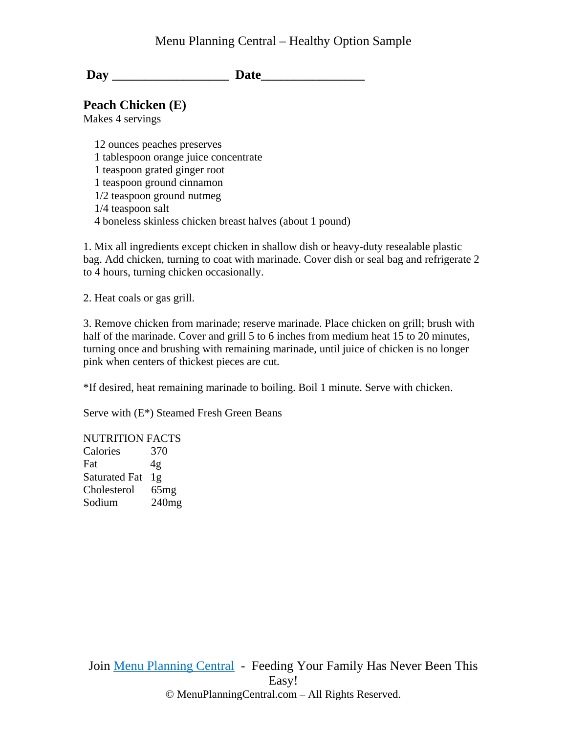## Menu Planning Central – Healthy Option Sample

Day Date

**Peach Chicken (E)** 

Makes 4 servings

 12 ounces peaches preserves 1 tablespoon orange juice concentrate 1 teaspoon grated ginger root 1 teaspoon ground cinnamon 1/2 teaspoon ground nutmeg 1/4 teaspoon salt 4 boneless skinless chicken breast halves (about 1 pound)

1. Mix all ingredients except chicken in shallow dish or heavy-duty resealable plastic bag. Add chicken, turning to coat with marinade. Cover dish or seal bag and refrigerate 2 to 4 hours, turning chicken occasionally.

2. Heat coals or gas grill.

3. Remove chicken from marinade; reserve marinade. Place chicken on grill; brush with half of the marinade. Cover and grill 5 to 6 inches from medium heat 15 to 20 minutes, turning once and brushing with remaining marinade, until juice of chicken is no longer pink when centers of thickest pieces are cut.

\*If desired, heat remaining marinade to boiling. Boil 1 minute. Serve with chicken.

Serve with (E\*) Steamed Fresh Green Beans

NUTRITION FACTS

| Calories             | 370   |
|----------------------|-------|
| Fat                  | 4g    |
| <b>Saturated Fat</b> | 1g    |
| Cholesterol          | 65mg  |
| Sodium               | 240mg |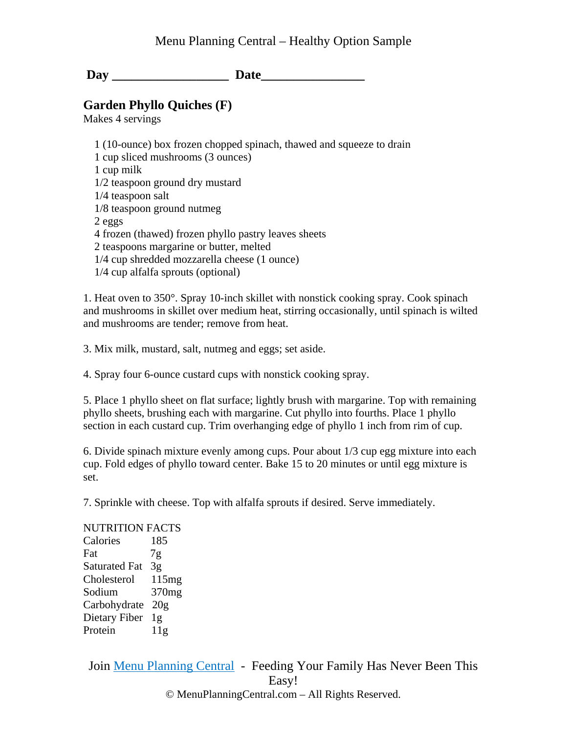# **Garden Phyllo Quiches (F)**

Makes 4 servings

 1 (10-ounce) box frozen chopped spinach, thawed and squeeze to drain 1 cup sliced mushrooms (3 ounces) 1 cup milk 1/2 teaspoon ground dry mustard 1/4 teaspoon salt 1/8 teaspoon ground nutmeg 2 eggs 4 frozen (thawed) frozen phyllo pastry leaves sheets 2 teaspoons margarine or butter, melted 1/4 cup shredded mozzarella cheese (1 ounce) 1/4 cup alfalfa sprouts (optional)

1. Heat oven to 350°. Spray 10-inch skillet with nonstick cooking spray. Cook spinach and mushrooms in skillet over medium heat, stirring occasionally, until spinach is wilted and mushrooms are tender; remove from heat.

3. Mix milk, mustard, salt, nutmeg and eggs; set aside.

4. Spray four 6-ounce custard cups with nonstick cooking spray.

5. Place 1 phyllo sheet on flat surface; lightly brush with margarine. Top with remaining phyllo sheets, brushing each with margarine. Cut phyllo into fourths. Place 1 phyllo section in each custard cup. Trim overhanging edge of phyllo 1 inch from rim of cup.

6. Divide spinach mixture evenly among cups. Pour about 1/3 cup egg mixture into each cup. Fold edges of phyllo toward center. Bake 15 to 20 minutes or until egg mixture is set.

7. Sprinkle with cheese. Top with alfalfa sprouts if desired. Serve immediately.

NUTRITION FACTS Calories 185 Fat 7g Saturated Fat 3g Cholesterol 115mg Sodium 370mg Carbohydrate 20g Dietary Fiber 1g Protein 11g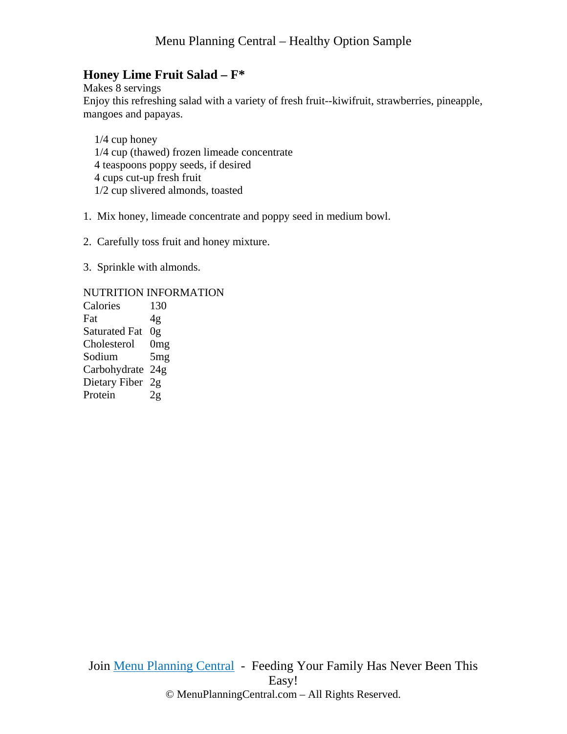# **Honey Lime Fruit Salad – F\***

Makes 8 servings Enjoy this refreshing salad with a variety of fresh fruit--kiwifruit, strawberries, pineapple, mangoes and papayas.

 1/4 cup honey 1/4 cup (thawed) frozen limeade concentrate 4 teaspoons poppy seeds, if desired 4 cups cut-up fresh fruit 1/2 cup slivered almonds, toasted

1. Mix honey, limeade concentrate and poppy seed in medium bowl.

- 2. Carefully toss fruit and honey mixture.
- 3. Sprinkle with almonds.

#### NUTRITION INFORMATION

Calories 130 Fat  $4g$ Saturated Fat 0g Cholesterol 0mg Sodium 5mg Carbohydrate 24g Dietary Fiber 2g Protein 2g